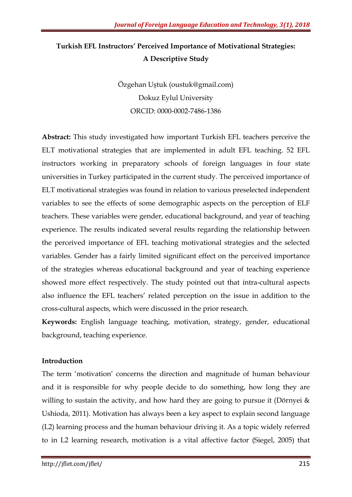# Turkish EFL Instructors' Perceived Importance of Motivational Strategies: A Descriptive Study

Özgehan Uştuk (oustuk@gmail.com) Dokuz Eylul University ORCID: 0000-0002-7486-1386

Abstract: This study investigated how important Turkish EFL teachers perceive the ELT motivational strategies that are implemented in adult EFL teaching. 52 EFL instructors working in preparatory schools of foreign languages in four state universities in Turkey participated in the current study. The perceived importance of ELT motivational strategies was found in relation to various preselected independent variables to see the effects of some demographic aspects on the perception of ELF teachers. These variables were gender, educational background, and year of teaching experience. The results indicated several results regarding the relationship between the perceived importance of EFL teaching motivational strategies and the selected variables. Gender has a fairly limited significant effect on the perceived importance of the strategies whereas educational background and year of teaching experience showed more effect respectively. The study pointed out that intra-cultural aspects also influence the EFL teachers' related perception on the issue in addition to the cross-cultural aspects, which were discussed in the prior research.

Keywords: English language teaching, motivation, strategy, gender, educational background, teaching experience.

# Introduction

The term 'motivation' concerns the direction and magnitude of human behaviour and it is responsible for why people decide to do something, how long they are willing to sustain the activity, and how hard they are going to pursue it (Dörnyei  $\&$ Ushioda, 2011). Motivation has always been a key aspect to explain second language (L2) learning process and the human behaviour driving it. As a topic widely referred to in L2 learning research, motivation is a vital affective factor (Siegel, 2005) that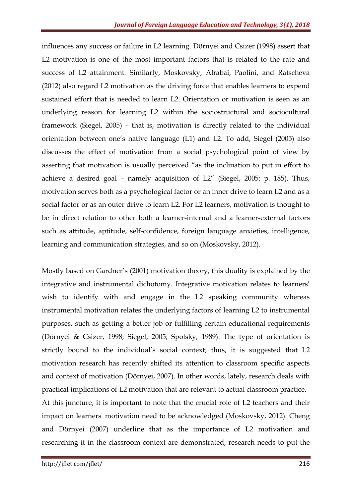influences any success or failure in L2 learning. Dörnyei and Csizer (1998) assert that L2 motivation is one of the most important factors that is related to the rate and success of L2 attainment. Similarly, Moskovsky, Alrabai, Paolini, and Ratscheva (2012) also regard L2 motivation as the driving force that enables learners to expend sustained effort that is needed to learn L2. Orientation or motivation is seen as an underlying reason for learning L2 within the sociostructural and sociocultural framework (Siegel, 2005) – that is, motivation is directly related to the individual orientation between one's native language (L1) and L2. To add, Siegel (2005) also discusses the effect of motivation from a social psychological point of view by asserting that motivation is usually perceived "as the inclination to put in effort to achieve a desired goal – namely acquisition of L2" (Siegel, 2005: p. 185). Thus, motivation serves both as a psychological factor or an inner drive to learn L2 and as a social factor or as an outer drive to learn L2. For L2 learners, motivation is thought to be in direct relation to other both a learner-internal and a learner-external factors such as attitude, aptitude, self-confidence, foreign language anxieties, intelligence, learning and communication strategies, and so on (Moskovsky, 2012).

Mostly based on Gardner's (2001) motivation theory, this duality is explained by the integrative and instrumental dichotomy. Integrative motivation relates to learners' wish to identify with and engage in the L2 speaking community whereas instrumental motivation relates the underlying factors of learning L2 to instrumental purposes, such as getting a better job or fulfilling certain educational requirements (Dörnyei & Csizer, 1998; Siegel, 2005; Spolsky, 1989). The type of orientation is strictly bound to the individual's social context; thus, it is suggested that L2 motivation research has recently shifted its attention to classroom specific aspects and context of motivation (Dörnyei, 2007). In other words, lately, research deals with practical implications of L2 motivation that are relevant to actual classroom practice. At this juncture, it is important to note that the crucial role of L2 teachers and their impact on learners' motivation need to be acknowledged (Moskovsky, 2012). Cheng

and Dörnyei (2007) underline that as the importance of L2 motivation and researching it in the classroom context are demonstrated, research needs to put the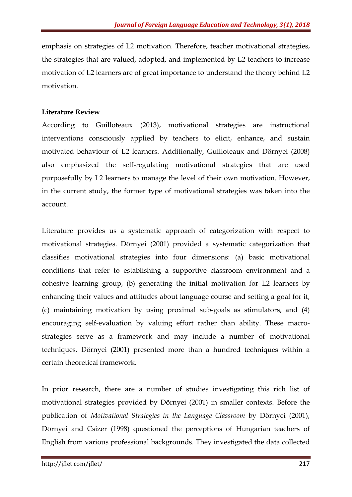emphasis on strategies of L2 motivation. Therefore, teacher motivational strategies, the strategies that are valued, adopted, and implemented by L2 teachers to increase motivation of L2 learners are of great importance to understand the theory behind L2 motivation.

### Literature Review

According to Guilloteaux (2013), motivational strategies are instructional interventions consciously applied by teachers to elicit, enhance, and sustain motivated behaviour of L2 learners. Additionally, Guilloteaux and Dörnyei (2008) also emphasized the self-regulating motivational strategies that are used purposefully by L2 learners to manage the level of their own motivation. However, in the current study, the former type of motivational strategies was taken into the account.

Literature provides us a systematic approach of categorization with respect to motivational strategies. Dörnyei (2001) provided a systematic categorization that classifies motivational strategies into four dimensions: (a) basic motivational conditions that refer to establishing a supportive classroom environment and a cohesive learning group, (b) generating the initial motivation for L2 learners by enhancing their values and attitudes about language course and setting a goal for it, (c) maintaining motivation by using proximal sub-goals as stimulators, and (4) encouraging self-evaluation by valuing effort rather than ability. These macrostrategies serve as a framework and may include a number of motivational techniques. Dörnyei (2001) presented more than a hundred techniques within a certain theoretical framework.

In prior research, there are a number of studies investigating this rich list of motivational strategies provided by Dörnyei (2001) in smaller contexts. Before the publication of Motivational Strategies in the Language Classroom by Dörnyei (2001), Dörnyei and Csizer (1998) questioned the perceptions of Hungarian teachers of English from various professional backgrounds. They investigated the data collected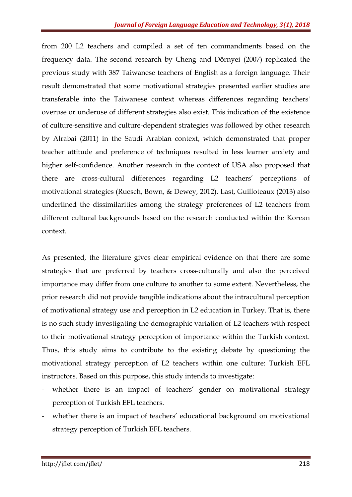from 200 L2 teachers and compiled a set of ten commandments based on the frequency data. The second research by Cheng and Dörnyei (2007) replicated the previous study with 387 Taiwanese teachers of English as a foreign language. Their result demonstrated that some motivational strategies presented earlier studies are transferable into the Taiwanese context whereas differences regarding teachers' overuse or underuse of different strategies also exist. This indication of the existence of culture-sensitive and culture-dependent strategies was followed by other research by Alrabai (2011) in the Saudi Arabian context, which demonstrated that proper teacher attitude and preference of techniques resulted in less learner anxiety and higher self-confidence. Another research in the context of USA also proposed that there are cross-cultural differences regarding L2 teachers' perceptions of motivational strategies (Ruesch, Bown, & Dewey, 2012). Last, Guilloteaux (2013) also underlined the dissimilarities among the strategy preferences of L2 teachers from different cultural backgrounds based on the research conducted within the Korean context.

As presented, the literature gives clear empirical evidence on that there are some strategies that are preferred by teachers cross-culturally and also the perceived importance may differ from one culture to another to some extent. Nevertheless, the prior research did not provide tangible indications about the intracultural perception of motivational strategy use and perception in L2 education in Turkey. That is, there is no such study investigating the demographic variation of L2 teachers with respect to their motivational strategy perception of importance within the Turkish context. Thus, this study aims to contribute to the existing debate by questioning the motivational strategy perception of L2 teachers within one culture: Turkish EFL instructors. Based on this purpose, this study intends to investigate:

- whether there is an impact of teachers' gender on motivational strategy perception of Turkish EFL teachers.
- whether there is an impact of teachers' educational background on motivational strategy perception of Turkish EFL teachers.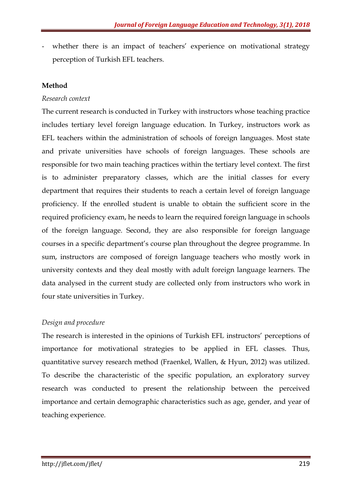whether there is an impact of teachers' experience on motivational strategy perception of Turkish EFL teachers.

# Method

# Research context

The current research is conducted in Turkey with instructors whose teaching practice includes tertiary level foreign language education. In Turkey, instructors work as EFL teachers within the administration of schools of foreign languages. Most state and private universities have schools of foreign languages. These schools are responsible for two main teaching practices within the tertiary level context. The first is to administer preparatory classes, which are the initial classes for every department that requires their students to reach a certain level of foreign language proficiency. If the enrolled student is unable to obtain the sufficient score in the required proficiency exam, he needs to learn the required foreign language in schools of the foreign language. Second, they are also responsible for foreign language courses in a specific department's course plan throughout the degree programme. In sum, instructors are composed of foreign language teachers who mostly work in university contexts and they deal mostly with adult foreign language learners. The data analysed in the current study are collected only from instructors who work in four state universities in Turkey.

# Design and procedure

The research is interested in the opinions of Turkish EFL instructors' perceptions of importance for motivational strategies to be applied in EFL classes. Thus, quantitative survey research method (Fraenkel, Wallen, & Hyun, 2012) was utilized. To describe the characteristic of the specific population, an exploratory survey research was conducted to present the relationship between the perceived importance and certain demographic characteristics such as age, gender, and year of teaching experience.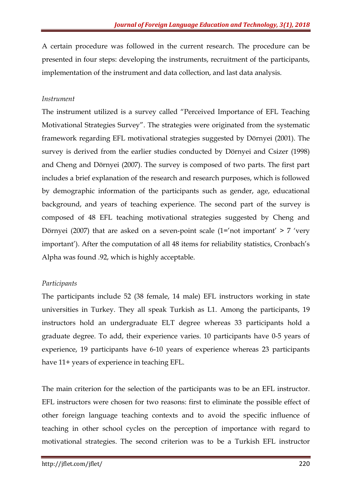A certain procedure was followed in the current research. The procedure can be presented in four steps: developing the instruments, recruitment of the participants, implementation of the instrument and data collection, and last data analysis.

### Instrument

The instrument utilized is a survey called "Perceived Importance of EFL Teaching Motivational Strategies Survey". The strategies were originated from the systematic framework regarding EFL motivational strategies suggested by Dörnyei (2001). The survey is derived from the earlier studies conducted by Dörnyei and Csizer (1998) and Cheng and Dörnyei (2007). The survey is composed of two parts. The first part includes a brief explanation of the research and research purposes, which is followed by demographic information of the participants such as gender, age, educational background, and years of teaching experience. The second part of the survey is composed of 48 EFL teaching motivational strategies suggested by Cheng and Dörnyei (2007) that are asked on a seven-point scale (1='not important'  $> 7$  'very important'). After the computation of all 48 items for reliability statistics, Cronbach's Alpha was found .92, which is highly acceptable.

# **Participants**

The participants include 52 (38 female, 14 male) EFL instructors working in state universities in Turkey. They all speak Turkish as L1. Among the participants, 19 instructors hold an undergraduate ELT degree whereas 33 participants hold a graduate degree. To add, their experience varies. 10 participants have 0-5 years of experience, 19 participants have 6-10 years of experience whereas 23 participants have 11+ years of experience in teaching EFL.

The main criterion for the selection of the participants was to be an EFL instructor. EFL instructors were chosen for two reasons: first to eliminate the possible effect of other foreign language teaching contexts and to avoid the specific influence of teaching in other school cycles on the perception of importance with regard to motivational strategies. The second criterion was to be a Turkish EFL instructor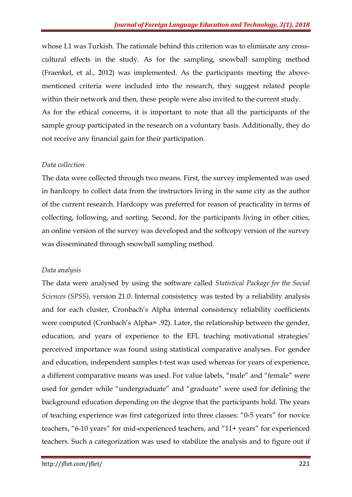whose L1 was Turkish. The rationale behind this criterion was to eliminate any crosscultural effects in the study. As for the sampling, snowball sampling method (Fraenkel, et al., 2012) was implemented. As the participants meeting the abovementioned criteria were included into the research, they suggest related people within their network and then, these people were also invited to the current study. As for the ethical concerns, it is important to note that all the participants of the sample group participated in the research on a voluntary basis. Additionally, they do not receive any financial gain for their participation.

#### Data collection

The data were collected through two means. First, the survey implemented was used in hardcopy to collect data from the instructors living in the same city as the author of the current research. Hardcopy was preferred for reason of practicality in terms of collecting, following, and sorting. Second, for the participants living in other cities, an online version of the survey was developed and the softcopy version of the survey was disseminated through snowball sampling method.

# Data analysis

The data were analysed by using the software called Statistical Package for the Social Sciences (SPSS), version 21.0. Internal consistency was tested by a reliability analysis and for each cluster, Cronbach's Alpha internal consistency reliability coefficients were computed (Cronbach's Alpha= .92). Later, the relationship between the gender, education, and years of experience to the EFL teaching motivational strategies' perceived importance was found using statistical comparative analyses. For gender and education, independent samples t-test was used whereas for years of experience, a different comparative means was used. For value labels, "male" and "female" were used for gender while "undergraduate" and "graduate" were used for defining the background education depending on the degree that the participants hold. The years of teaching experience was first categorized into three classes: "0-5 years" for novice teachers, "6-10 years" for mid-experienced teachers, and "11+ years" for experienced teachers. Such a categorization was used to stabilize the analysis and to figure out if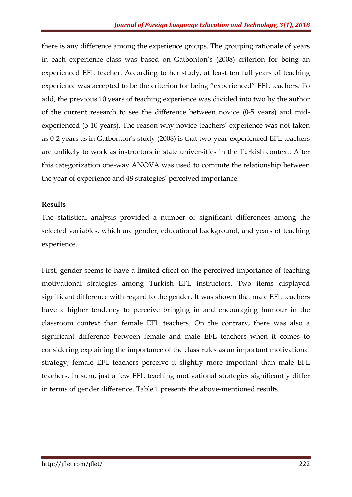there is any difference among the experience groups. The grouping rationale of years in each experience class was based on Gatbonton's (2008) criterion for being an experienced EFL teacher. According to her study, at least ten full years of teaching experience was accepted to be the criterion for being "experienced" EFL teachers. To add, the previous 10 years of teaching experience was divided into two by the author of the current research to see the difference between novice (0-5 years) and midexperienced (5-10 years). The reason why novice teachers' experience was not taken as 0-2 years as in Gatbonton's study (2008) is that two-year-experienced EFL teachers are unlikely to work as instructors in state universities in the Turkish context. After this categorization one-way ANOVA was used to compute the relationship between the year of experience and 48 strategies' perceived importance.

#### Results

The statistical analysis provided a number of significant differences among the selected variables, which are gender, educational background, and years of teaching experience.

First, gender seems to have a limited effect on the perceived importance of teaching motivational strategies among Turkish EFL instructors. Two items displayed significant difference with regard to the gender. It was shown that male EFL teachers have a higher tendency to perceive bringing in and encouraging humour in the classroom context than female EFL teachers. On the contrary, there was also a significant difference between female and male EFL teachers when it comes to considering explaining the importance of the class rules as an important motivational strategy; female EFL teachers perceive it slightly more important than male EFL teachers. In sum, just a few EFL teaching motivational strategies significantly differ in terms of gender difference. Table 1 presents the above-mentioned results.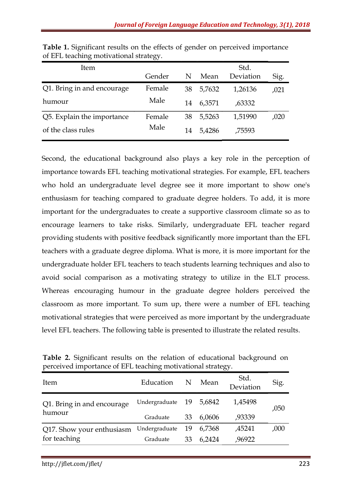| ltem                       |        |    | Std.   |           |      |
|----------------------------|--------|----|--------|-----------|------|
|                            | Gender | N  | Mean   | Deviation | Sig. |
| Q1. Bring in and encourage | Female | 38 | 5,7632 | 1,26136   | ,021 |
| humour                     | Male   | 14 | 6,3571 | .63332    |      |
| Q5. Explain the importance | Female | 38 | 5,5263 | 1,51990   | ,020 |
| of the class rules         | Male   | 14 | 5,4286 | ,75593    |      |

Table 1. Significant results on the effects of gender on perceived importance of EFL teaching motivational strategy.

Second, the educational background also plays a key role in the perception of importance towards EFL teaching motivational strategies. For example, EFL teachers who hold an undergraduate level degree see it more important to show one's enthusiasm for teaching compared to graduate degree holders. To add, it is more important for the undergraduates to create a supportive classroom climate so as to encourage learners to take risks. Similarly, undergraduate EFL teacher regard providing students with positive feedback significantly more important than the EFL teachers with a graduate degree diploma. What is more, it is more important for the undergraduate holder EFL teachers to teach students learning techniques and also to avoid social comparison as a motivating strategy to utilize in the ELT process. Whereas encouraging humour in the graduate degree holders perceived the classroom as more important. To sum up, there were a number of EFL teaching motivational strategies that were perceived as more important by the undergraduate level EFL teachers. The following table is presented to illustrate the related results.

|                            |                         |    |        | $\cup$            |      |  |
|----------------------------|-------------------------|----|--------|-------------------|------|--|
| Item                       | Education               | N  | Mean   | Std.<br>Deviation | Sig. |  |
| Q1. Bring in and encourage | Undergraduate 19 5,6842 |    |        | 1,45498           | ,050 |  |
| humour                     | Graduate                | 33 | 6,0606 | ,93339            |      |  |
| Q17. Show your enthusiasm  | Undergraduate           | 19 | 6,7368 | ,45241            | ,000 |  |
| for teaching               | Graduate                | 33 | 6,2424 | ,96922            |      |  |

Table 2. Significant results on the relation of educational background on perceived importance of EFL teaching motivational strategy.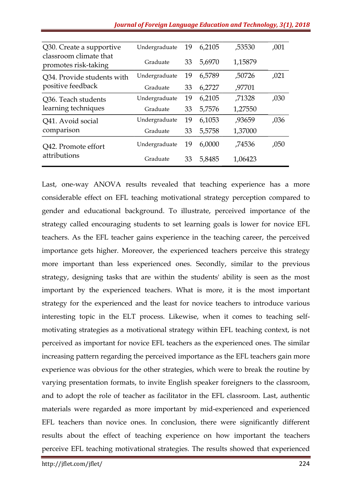| Q30. Create a supportive                        | Undergraduate | 19 | 6,2105 | ,53530  | ,001 |
|-------------------------------------------------|---------------|----|--------|---------|------|
| classroom climate that<br>promotes risk-taking  | Graduate      | 33 | 5,6970 | 1,15879 |      |
| Q34. Provide students with<br>positive feedback | Undergraduate | 19 | 6,5789 | ,50726  | ,021 |
|                                                 | Graduate      | 33 | 6,2727 | ,97701  |      |
| Q36. Teach students<br>learning techniques      | Undergraduate | 19 | 6,2105 | ,71328  | ,030 |
|                                                 | Graduate      | 33 | 5,7576 | 1,27550 |      |
| Q41. Avoid social                               | Undergraduate | 19 | 6,1053 | ,93659  | ,036 |
| comparison                                      | Graduate      | 33 | 5,5758 | 1,37000 |      |
| Q42. Promote effort<br>attributions             | Undergraduate | 19 | 6,0000 | ,74536  | ,050 |
|                                                 | Graduate      | 33 | 5,8485 | 1,06423 |      |

Last, one-way ANOVA results revealed that teaching experience has a more considerable effect on EFL teaching motivational strategy perception compared to gender and educational background. To illustrate, perceived importance of the strategy called encouraging students to set learning goals is lower for novice EFL teachers. As the EFL teacher gains experience in the teaching career, the perceived importance gets higher. Moreover, the experienced teachers perceive this strategy more important than less experienced ones. Secondly, similar to the previous strategy, designing tasks that are within the students' ability is seen as the most important by the experienced teachers. What is more, it is the most important strategy for the experienced and the least for novice teachers to introduce various interesting topic in the ELT process. Likewise, when it comes to teaching selfmotivating strategies as a motivational strategy within EFL teaching context, is not perceived as important for novice EFL teachers as the experienced ones. The similar increasing pattern regarding the perceived importance as the EFL teachers gain more experience was obvious for the other strategies, which were to break the routine by varying presentation formats, to invite English speaker foreigners to the classroom, and to adopt the role of teacher as facilitator in the EFL classroom. Last, authentic materials were regarded as more important by mid-experienced and experienced EFL teachers than novice ones. In conclusion, there were significantly different results about the effect of teaching experience on how important the teachers perceive EFL teaching motivational strategies. The results showed that experienced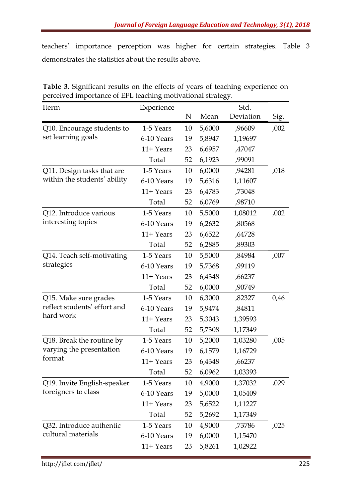teachers' importance perception was higher for certain strategies. Table 3 demonstrates the statistics about the results above.

| Iterm                        | Experience   |    |        | Std.      |      |
|------------------------------|--------------|----|--------|-----------|------|
|                              |              | N  | Mean   | Deviation | Sig. |
| Q10. Encourage students to   | 1-5 Years    | 10 | 5,6000 | ,96609    | ,002 |
| set learning goals           | 6-10 Years   | 19 | 5,8947 | 1,19697   |      |
|                              | 11+ Years    | 23 | 6,6957 | ,47047    |      |
|                              | Total        | 52 | 6,1923 | ,99091    |      |
| Q11. Design tasks that are   | 1-5 Years    | 10 | 6,0000 | ,94281    | ,018 |
| within the students' ability | 6-10 Years   | 19 | 5,6316 | 1,11607   |      |
|                              | 11+ Years    | 23 | 6,4783 | ,73048    |      |
|                              | Total        | 52 | 6,0769 | ,98710    |      |
| Q12. Introduce various       | 1-5 Years    | 10 | 5,5000 | 1,08012   | ,002 |
| interesting topics           | 6-10 Years   | 19 | 6,2632 | ,80568    |      |
|                              | 11+ Years    | 23 | 6,6522 | ,64728    |      |
|                              | Total        | 52 | 6,2885 | ,89303    |      |
| Q14. Teach self-motivating   | 1-5 Years    | 10 | 5,5000 | ,84984    | ,007 |
| strategies                   | 6-10 Years   | 19 | 5,7368 | ,99119    |      |
|                              | $11 + Years$ | 23 | 6,4348 | ,66237    |      |
|                              | Total        | 52 | 6,0000 | ,90749    |      |
| Q15. Make sure grades        | 1-5 Years    | 10 | 6,3000 | ,82327    | 0,46 |
| reflect students' effort and | 6-10 Years   | 19 | 5,9474 | ,84811    |      |
| hard work                    | 11+ Years    | 23 | 5,3043 | 1,39593   |      |
|                              | Total        | 52 | 5,7308 | 1,17349   |      |
| Q18. Break the routine by    | 1-5 Years    | 10 | 5,2000 | 1,03280   | ,005 |
| varying the presentation     | 6-10 Years   | 19 | 6,1579 | 1,16729   |      |
| format                       | 11+ Years    | 23 | 6,4348 | ,66237    |      |
|                              | Total        | 52 | 6,0962 | 1,03393   |      |
| Q19. Invite English-speaker  | 1-5 Years    | 10 | 4,9000 | 1,37032   | ,029 |
| foreigners to class          | 6-10 Years   | 19 | 5,0000 | 1,05409   |      |
|                              | 11+ Years    | 23 | 5,6522 | 1,11227   |      |
|                              | Total        | 52 | 5,2692 | 1,17349   |      |
| Q32. Introduce authentic     | 1-5 Years    | 10 | 4,9000 | ,73786    | ,025 |
| cultural materials           | 6-10 Years   | 19 | 6,0000 | 1,15470   |      |
|                              | 11+ Years    | 23 | 5,8261 | 1,02922   |      |

Table 3. Significant results on the effects of years of teaching experience on perceived importance of EFL teaching motivational strategy.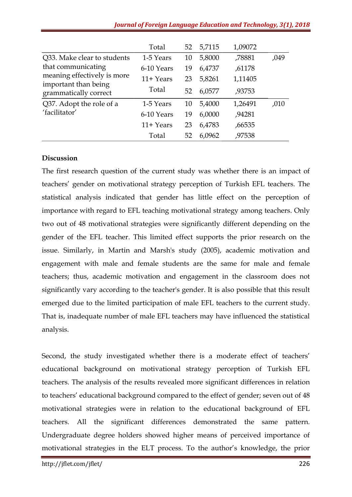|                                                     | Total        | 52 | 5,7115 | 1,09072 |      |
|-----------------------------------------------------|--------------|----|--------|---------|------|
| Q33. Make clear to students                         | 1-5 Years    | 10 | 5,8000 | ,78881  | ,049 |
| that communicating                                  | 6-10 Years   | 19 | 6,4737 | ,61178  |      |
| meaning effectively is more<br>important than being | $11+Years$   | 23 | 5,8261 | 1,11405 |      |
| grammatically correct                               | Total        | 52 | 6,0577 | ,93753  |      |
| Q37. Adopt the role of a                            | 1-5 Years    | 10 | 5,4000 | 1,26491 | ,010 |
| 'facilitator'                                       | 6-10 Years   | 19 | 6,0000 | ,94281  |      |
|                                                     | $11 +$ Years | 23 | 6,4783 | ,66535  |      |
|                                                     | Total        | 52 | 6,0962 | ,97538  |      |

#### Discussion

The first research question of the current study was whether there is an impact of teachers' gender on motivational strategy perception of Turkish EFL teachers. The statistical analysis indicated that gender has little effect on the perception of importance with regard to EFL teaching motivational strategy among teachers. Only two out of 48 motivational strategies were significantly different depending on the gender of the EFL teacher. This limited effect supports the prior research on the issue. Similarly, in Martin and Marsh's study (2005), academic motivation and engagement with male and female students are the same for male and female teachers; thus, academic motivation and engagement in the classroom does not significantly vary according to the teacher's gender. It is also possible that this result emerged due to the limited participation of male EFL teachers to the current study. That is, inadequate number of male EFL teachers may have influenced the statistical analysis.

Second, the study investigated whether there is a moderate effect of teachers' educational background on motivational strategy perception of Turkish EFL teachers. The analysis of the results revealed more significant differences in relation to teachers' educational background compared to the effect of gender; seven out of 48 motivational strategies were in relation to the educational background of EFL teachers. All the significant differences demonstrated the same pattern. Undergraduate degree holders showed higher means of perceived importance of motivational strategies in the ELT process. To the author's knowledge, the prior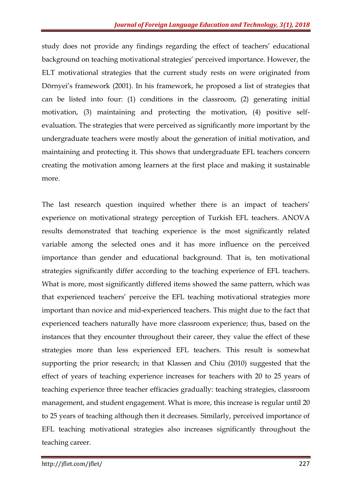study does not provide any findings regarding the effect of teachers' educational background on teaching motivational strategies' perceived importance. However, the ELT motivational strategies that the current study rests on were originated from Dörnyei's framework (2001). In his framework, he proposed a list of strategies that can be listed into four: (1) conditions in the classroom, (2) generating initial motivation, (3) maintaining and protecting the motivation, (4) positive selfevaluation. The strategies that were perceived as significantly more important by the undergraduate teachers were mostly about the generation of initial motivation, and maintaining and protecting it. This shows that undergraduate EFL teachers concern creating the motivation among learners at the first place and making it sustainable more.

The last research question inquired whether there is an impact of teachers' experience on motivational strategy perception of Turkish EFL teachers. ANOVA results demonstrated that teaching experience is the most significantly related variable among the selected ones and it has more influence on the perceived importance than gender and educational background. That is, ten motivational strategies significantly differ according to the teaching experience of EFL teachers. What is more, most significantly differed items showed the same pattern, which was that experienced teachers' perceive the EFL teaching motivational strategies more important than novice and mid-experienced teachers. This might due to the fact that experienced teachers naturally have more classroom experience; thus, based on the instances that they encounter throughout their career, they value the effect of these strategies more than less experienced EFL teachers. This result is somewhat supporting the prior research; in that Klassen and Chiu (2010) suggested that the effect of years of teaching experience increases for teachers with 20 to 25 years of teaching experience three teacher efficacies gradually: teaching strategies, classroom management, and student engagement. What is more, this increase is regular until 20 to 25 years of teaching although then it decreases. Similarly, perceived importance of EFL teaching motivational strategies also increases significantly throughout the teaching career.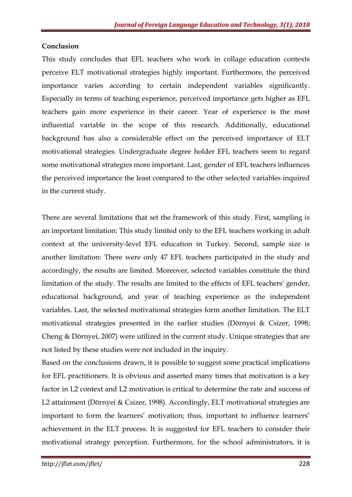### **Conclusion**

This study concludes that EFL teachers who work in collage education contexts perceive ELT motivational strategies highly important. Furthermore, the perceived importance varies according to certain independent variables significantly. Especially in terms of teaching experience, perceived importance gets higher as EFL teachers gain more experience in their career. Year of experience is the most influential variable in the scope of this research. Additionally, educational background has also a considerable effect on the perceived importance of ELT motivational strategies. Undergraduate degree holder EFL teachers seem to regard some motivational strategies more important. Last, gender of EFL teachers influences the perceived importance the least compared to the other selected variables inquired in the current study.

There are several limitations that set the framework of this study. First, sampling is an important limitation: This study limited only to the EFL teachers working in adult context at the university-level EFL education in Turkey. Second, sample size is another limitation: There were only 47 EFL teachers participated in the study and accordingly, the results are limited. Moreover, selected variables constitute the third limitation of the study. The results are limited to the effects of EFL teachers' gender, educational background, and year of teaching experience as the independent variables. Last, the selected motivational strategies form another limitation. The ELT motivational strategies presented in the earlier studies (Dörnyei & Csizer, 1998; Cheng & Dörnyei, 2007) were utilized in the current study. Unique strategies that are not listed by these studies were not included in the inquiry.

Based on the conclusions drawn, it is possible to suggest some practical implications for EFL practitioners. It is obvious and asserted many times that motivation is a key factor in L2 context and L2 motivation is critical to determine the rate and success of L2 attainment (Dörnyei & Csizer, 1998). Accordingly, ELT motivational strategies are important to form the learners' motivation; thus, important to influence learners' achievement in the ELT process. It is suggested for EFL teachers to consider their motivational strategy perception. Furthermore, for the school administrators, it is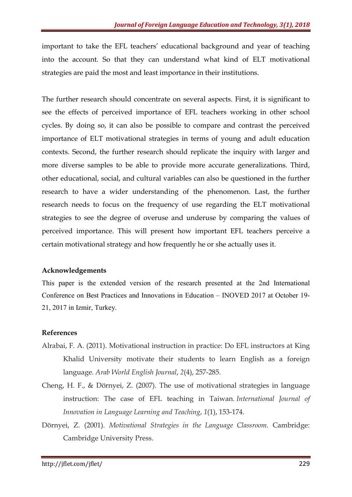important to take the EFL teachers' educational background and year of teaching into the account. So that they can understand what kind of ELT motivational strategies are paid the most and least importance in their institutions.

The further research should concentrate on several aspects. First, it is significant to see the effects of perceived importance of EFL teachers working in other school cycles. By doing so, it can also be possible to compare and contrast the perceived importance of ELT motivational strategies in terms of young and adult education contexts. Second, the further research should replicate the inquiry with larger and more diverse samples to be able to provide more accurate generalizations. Third, other educational, social, and cultural variables can also be questioned in the further research to have a wider understanding of the phenomenon. Last, the further research needs to focus on the frequency of use regarding the ELT motivational strategies to see the degree of overuse and underuse by comparing the values of perceived importance. This will present how important EFL teachers perceive a certain motivational strategy and how frequently he or she actually uses it.

# Acknowledgements

This paper is the extended version of the research presented at the 2nd International Conference on Best Practices and Innovations in Education – INOVED 2017 at October 19- 21, 2017 in Izmir, Turkey.

# References

- Alrabai, F. A. (2011). Motivational instruction in practice: Do EFL instructors at King Khalid University motivate their students to learn English as a foreign language. Arab World English Journal, 2(4), 257-285.
- Cheng, H. F., & Dörnyei, Z. (2007). The use of motivational strategies in language instruction: The case of EFL teaching in Taiwan. International Journal of Innovation in Language Learning and Teaching, 1(1), 153-174.
- Dörnyei, Z. (2001). Motivational Strategies in the Language Classroom. Cambridge: Cambridge University Press.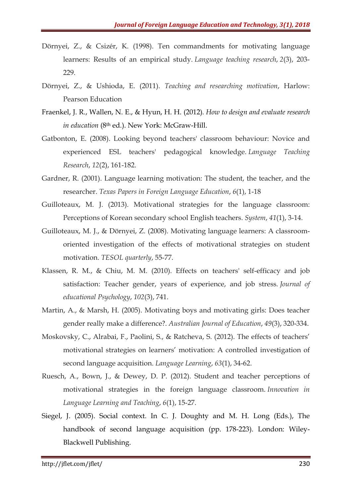- Dörnyei, Z., & Csizér, K. (1998). Ten commandments for motivating language learners: Results of an empirical study. Language teaching research, 2(3), 203- 229.
- Dörnyei, Z., & Ushioda, E. (2011). Teaching and researching motivation, Harlow: Pearson Education
- Fraenkel, J. R., Wallen, N. E., & Hyun, H. H. (2012). How to design and evaluate research in education (8<sup>th</sup> ed.). New York: McGraw-Hill.
- Gatbonton, E. (2008). Looking beyond teachers' classroom behaviour: Novice and experienced ESL teachers' pedagogical knowledge. Language Teaching Research, 12(2), 161-182.
- Gardner, R. (2001). Language learning motivation: The student, the teacher, and the researcher. Texas Papers in Foreign Language Education, 6(1), 1-18
- Guilloteaux, M. J. (2013). Motivational strategies for the language classroom: Perceptions of Korean secondary school English teachers. System, 41(1), 3-14.
- Guilloteaux, M. J., & Dörnyei, Z. (2008). Motivating language learners: A classroomoriented investigation of the effects of motivational strategies on student motivation. TESOL quarterly, 55-77.
- Klassen, R. M., & Chiu, M. M. (2010). Effects on teachers' self-efficacy and job satisfaction: Teacher gender, years of experience, and job stress. Journal of educational Psychology, 102(3), 741.
- Martin, A., & Marsh, H. (2005). Motivating boys and motivating girls: Does teacher gender really make a difference?. Australian Journal of Education, 49(3), 320-334.
- Moskovsky, C., Alrabai, F., Paolini, S., & Ratcheva, S. (2012). The effects of teachers' motivational strategies on learners' motivation: A controlled investigation of second language acquisition. Language Learning, 63(1), 34-62.
- Ruesch, A., Bown, J., & Dewey, D. P. (2012). Student and teacher perceptions of motivational strategies in the foreign language classroom. Innovation in Language Learning and Teaching, 6(1), 15-27.
- Siegel, J. (2005). Social context. In C. J. Doughty and M. H. Long (Eds.), The handbook of second language acquisition (pp. 178-223). London: Wiley-Blackwell Publishing.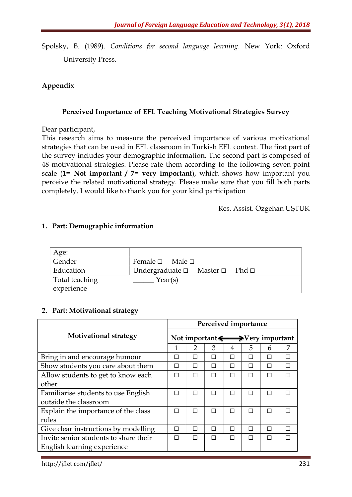Spolsky, B. (1989). Conditions for second language learning. New York: Oxford University Press.

# Appendix

### Perceived Importance of EFL Teaching Motivational Strategies Survey

Dear participant,

This research aims to measure the perceived importance of various motivational strategies that can be used in EFL classroom in Turkish EFL context. The first part of the survey includes your demographic information. The second part is composed of 48 motivational strategies. Please rate them according to the following seven-point scale (1= Not important / 7= very important), which shows how important you perceive the related motivational strategy. Please make sure that you fill both parts completely. I would like to thank you for your kind participation

Res. Assist. Özgehan UŞTUK

# 1. Part: Demographic information

| Age:           |                                                        |
|----------------|--------------------------------------------------------|
| Gender         | Female $\square$ Male $\square$                        |
| Education      | Undergraduate $\square$ Master $\square$ Phd $\square$ |
| Total teaching | Year(s)                                                |
| experience     |                                                        |

# 2. Part: Motivational strategy

| Perceived importance                               |               |   |                          |        |   |   |  |
|----------------------------------------------------|---------------|---|--------------------------|--------|---|---|--|
| Not important $\longleftrightarrow$ Very important |               |   |                          |        |   |   |  |
|                                                    | $\mathcal{P}$ | 3 | 4                        | 5      | 6 | 7 |  |
| П                                                  | П             | П | П                        | П      | П | П |  |
| П                                                  |               | П | $\overline{\phantom{a}}$ | П      |   | П |  |
| П                                                  | П             | П | П                        | П      | П | П |  |
|                                                    |               |   |                          |        |   |   |  |
| П                                                  |               | П |                          |        | П | П |  |
|                                                    |               |   |                          |        |   |   |  |
| П                                                  | $\mathsf{L}$  | П | П                        | П      | П | П |  |
|                                                    |               |   |                          |        |   |   |  |
| П                                                  | $\Box$        | П | П                        | П      | П | П |  |
| П                                                  | П             | П | П                        | $\Box$ |   | П |  |
|                                                    |               |   |                          |        |   |   |  |
|                                                    |               |   |                          |        |   |   |  |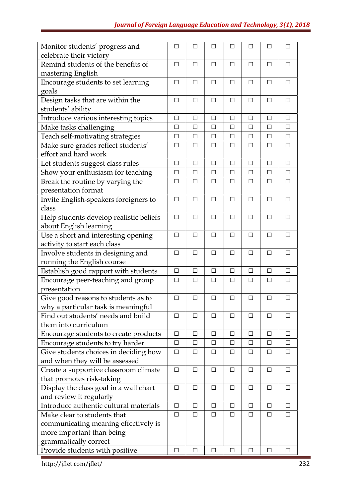| Monitor students' progress and          | □      | □      | □      | □      | П      | $\mathbf{L}$ | □      |
|-----------------------------------------|--------|--------|--------|--------|--------|--------------|--------|
| celebrate their victory                 |        |        |        |        |        |              |        |
| Remind students of the benefits of      | $\Box$ | $\Box$ | $\Box$ | $\Box$ | □      | $\Box$       | $\Box$ |
| mastering English                       |        |        |        |        |        |              |        |
| Encourage students to set learning      | $\Box$ | $\Box$ | $\Box$ | $\Box$ | $\Box$ | $\Box$       | $\Box$ |
| goals                                   |        |        |        |        |        |              |        |
| Design tasks that are within the        | □      | □      | $\Box$ | $\Box$ | $\Box$ | □            | □      |
| students' ability                       |        |        |        |        |        |              |        |
| Introduce various interesting topics    | $\Box$ | □      | $\Box$ | $\Box$ | $\Box$ | $\Box$       | $\Box$ |
| Make tasks challenging                  | □      | □      | $\Box$ | $\Box$ | □      | □            | $\Box$ |
| Teach self-motivating strategies        | $\Box$ | $\Box$ | $\Box$ | $\Box$ | $\Box$ | $\Box$       | $\Box$ |
| Make sure grades reflect students'      | $\Box$ | □      | $\Box$ | $\Box$ | □      | □            | $\Box$ |
| effort and hard work                    |        |        |        |        |        |              |        |
| Let students suggest class rules        | $\Box$ | □      | □      | $\Box$ | □      | □            | □      |
| Show your enthusiasm for teaching       | $\Box$ | □      | $\Box$ | □      | □      | □            | $\Box$ |
| Break the routine by varying the        | $\Box$ | $\Box$ | $\Box$ | $\Box$ | $\Box$ | □            | $\Box$ |
| presentation format                     |        |        |        |        |        |              |        |
| Invite English-speakers foreigners to   | $\Box$ | $\Box$ | $\Box$ | $\Box$ | $\Box$ | $\Box$       | $\Box$ |
| class                                   |        |        |        |        |        |              |        |
| Help students develop realistic beliefs | $\Box$ | $\Box$ | $\Box$ | $\Box$ | $\Box$ | □            | $\Box$ |
| about English learning                  |        |        |        |        |        |              |        |
| Use a short and interesting opening     | □      | $\Box$ | □      | □      | □      | □            | $\Box$ |
| activity to start each class            |        |        |        |        |        |              |        |
| Involve students in designing and       | $\Box$ | $\Box$ | $\Box$ | $\Box$ | $\Box$ | $\Box$       | $\Box$ |
| running the English course              |        |        |        |        |        |              |        |
| Establish good rapport with students    | $\Box$ | □      | $\Box$ | $\Box$ | □      | □            | $\Box$ |
| Encourage peer-teaching and group       | □      | □      | $\Box$ | $\Box$ | □      | □            | $\Box$ |
| presentation                            |        |        |        |        |        |              |        |
| Give good reasons to students as to     | □      | □      | □      | $\Box$ | □      | □            | □      |
| why a particular task is meaningful     |        |        |        |        |        |              |        |
| Find out students' needs and build      | □      | $\Box$ | □      | □      | □      | □            | $\Box$ |
| them into curriculum                    |        |        |        |        |        |              |        |
| Encourage students to create products   | $\Box$ | $\Box$ | $\Box$ | $\Box$ | $\Box$ | $\Box$       | $\Box$ |
| Encourage students to try harder        | $\Box$ | □      | $\Box$ | $\Box$ | □      | $\Box$       | □      |
| Give students choices in deciding how   | □      | □      | □      | □      | □      | □            | □      |
| and when they will be assessed          |        |        |        |        |        |              |        |
| Create a supportive classroom climate   | $\Box$ | $\Box$ | $\Box$ | $\Box$ | $\Box$ | $\Box$       | $\Box$ |
| that promotes risk-taking               |        |        |        |        |        |              |        |
| Display the class goal in a wall chart  | $\Box$ | □      | □      | □      | □      | □            | ப      |
| and review it regularly                 |        |        |        |        |        |              |        |
| Introduce authentic cultural materials  | $\Box$ | □      | $\Box$ | $\Box$ | $\Box$ | $\Box$       | $\Box$ |
| Make clear to students that             | $\Box$ | □      | $\Box$ | $\Box$ | □      | □            | □      |
| communicating meaning effectively is    |        |        |        |        |        |              |        |
| more important than being               |        |        |        |        |        |              |        |
| grammatically correct                   |        |        |        |        |        |              |        |
| Provide students with positive          | $\Box$ | $\Box$ | □      | $\Box$ | $\Box$ | □            | □      |

http://jflet.com/jflet/ 232